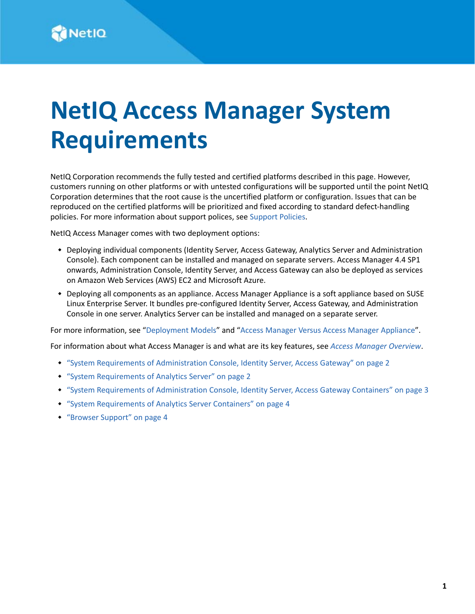# **NetIQ Access Manager System Requirements**

NetIQ Corporation recommends the fully tested and certified platforms described in this page. However, customers running on other platforms or with untested configurations will be supported until the point NetIQ Corporation determines that the root cause is the uncertified platform or configuration. Issues that can be reproduced on the certified platforms will be prioritized and fixed according to standard defect-handling policies. For more information about support polices, see [Support Policies.](https://www.microfocus.com/support-and-services/product-support-lifecycle-policy/)

NetIQ Access Manager comes with two deployment options:

- Deploying individual components (Identity Server, Access Gateway, Analytics Server and Administration Console). Each component can be installed and managed on separate servers. Access Manager 4.4 SP1 onwards, Administration Console, Identity Server, and Access Gateway can also be deployed as services on Amazon Web Services (AWS) EC2 and Microsoft Azure.
- Deploying all components as an appliance. Access Manager Appliance is a soft appliance based on SUSE Linux Enterprise Server. It bundles pre-configured Identity Server, Access Gateway, and Administration Console in one server. Analytics Server can be installed and managed on a separate server.

For more information, see ["Deployment Models](https://www.netiq.com/documentation/access-manager-45/install_upgrade/data/b1c8fnik.html)" and "[Access Manager Versus Access Manager Appliance](https://www.netiq.com/documentation/access-manager-45/install_upgrade/data/b1adiy4c.html)".

For information about what Access Manager is and what are its key features, see *[Access Manager Overview](https://www.microfocus.com/documentation/access-manager/5.0/pdfdoc/product-overview/product-overview.pdf#accessmanageroverview)*.

- ["System Requirements of Administration Console, Identity Server, Access Gateway" on page 2](#page-1-0)
- ["System Requirements of Analytics Server" on page 2](#page-1-1)
- ["System Requirements of Administration Console, Identity Server, Access Gateway Containers" on page 3](#page-2-0)
- ["System Requirements of Analytics Server Containers" on page 4](#page-3-0)
- ["Browser Support" on page 4](#page-3-1)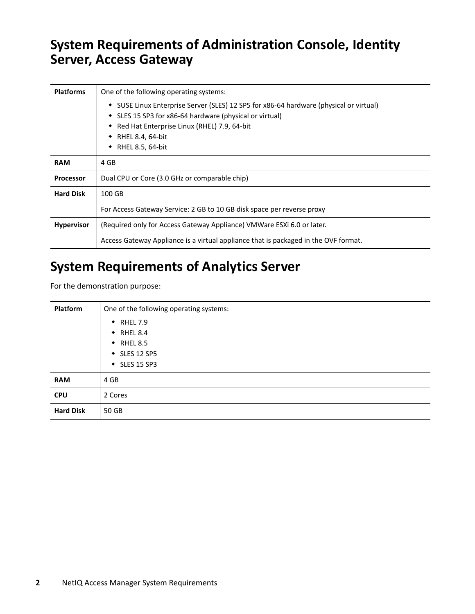#### <span id="page-1-0"></span>**System Requirements of Administration Console, Identity Server, Access Gateway**

| <b>Platforms</b>  | One of the following operating systems:                                                                                                                                                                                                                 |
|-------------------|---------------------------------------------------------------------------------------------------------------------------------------------------------------------------------------------------------------------------------------------------------|
|                   | • SUSE Linux Enterprise Server (SLES) 12 SP5 for x86-64 hardware (physical or virtual)<br>• SLES 15 SP3 for x86-64 hardware (physical or virtual)<br>Red Hat Enterprise Linux (RHEL) 7.9, 64-bit<br>٠<br>RHEL 8.4, 64-bit<br>٠<br>RHEL 8.5, 64-bit<br>٠ |
| <b>RAM</b>        | 4 GB                                                                                                                                                                                                                                                    |
| <b>Processor</b>  | Dual CPU or Core (3.0 GHz or comparable chip)                                                                                                                                                                                                           |
| <b>Hard Disk</b>  | 100 GB                                                                                                                                                                                                                                                  |
|                   | For Access Gateway Service: 2 GB to 10 GB disk space per reverse proxy                                                                                                                                                                                  |
| <b>Hypervisor</b> | (Required only for Access Gateway Appliance) VMWare ESXi 6.0 or later.                                                                                                                                                                                  |
|                   | Access Gateway Appliance is a virtual appliance that is packaged in the OVF format.                                                                                                                                                                     |

## <span id="page-1-1"></span>**System Requirements of Analytics Server**

For the demonstration purpose:

| Platform         | One of the following operating systems:  |
|------------------|------------------------------------------|
|                  | $\bullet$ RHEL 7.9                       |
|                  | $\bullet$ RHEL 8.4<br>$\bullet$ RHEL 8.5 |
|                  | ◆ SLES 12 SP5                            |
|                  | $\bullet$ SLES 15 SP3                    |
| <b>RAM</b>       | 4 GB                                     |
| <b>CPU</b>       | 2 Cores                                  |
| <b>Hard Disk</b> | 50 GB                                    |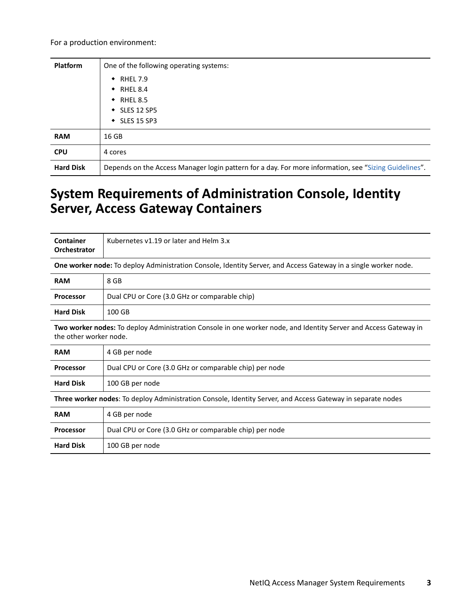For a production environment:

| <b>Platform</b>  | One of the following operating systems:                                                               |
|------------------|-------------------------------------------------------------------------------------------------------|
|                  | $\bullet$ RHEL 7.9                                                                                    |
|                  | $\bullet$ RHEL 8.4                                                                                    |
|                  | $\bullet$ RHEL 8.5                                                                                    |
|                  | $\bullet$ SLES 12 SP5                                                                                 |
|                  | $\bullet$ SLES 15 SP3                                                                                 |
| <b>RAM</b>       | 16 GB                                                                                                 |
| <b>CPU</b>       | 4 cores                                                                                               |
| <b>Hard Disk</b> | Depends on the Access Manager login pattern for a day. For more information, see "Sizing Guidelines". |

#### <span id="page-2-0"></span>**System Requirements of Administration Console, Identity Server, Access Gateway Containers**

| Container<br>Orchestrator                                                                                                                  | Kubernetes v1.19 or later and Helm 3.x                 |  |
|--------------------------------------------------------------------------------------------------------------------------------------------|--------------------------------------------------------|--|
| One worker node: To deploy Administration Console, Identity Server, and Access Gateway in a single worker node.                            |                                                        |  |
| <b>RAM</b>                                                                                                                                 | 8 GB                                                   |  |
| <b>Processor</b>                                                                                                                           | Dual CPU or Core (3.0 GHz or comparable chip)          |  |
| <b>Hard Disk</b>                                                                                                                           | 100 GB                                                 |  |
| Two worker nodes: To deploy Administration Console in one worker node, and Identity Server and Access Gateway in<br>the other worker node. |                                                        |  |
| <b>RAM</b>                                                                                                                                 | 4 GB per node                                          |  |
| <b>Processor</b>                                                                                                                           | Dual CPU or Core (3.0 GHz or comparable chip) per node |  |
| <b>Hard Disk</b>                                                                                                                           | 100 GB per node                                        |  |
| Three worker nodes: To deploy Administration Console, Identity Server, and Access Gateway in separate nodes                                |                                                        |  |
| <b>RAM</b>                                                                                                                                 | 4 GB per node                                          |  |
| <b>Processor</b>                                                                                                                           | Dual CPU or Core (3.0 GHz or comparable chip) per node |  |
| <b>Hard Disk</b>                                                                                                                           | 100 GB per node                                        |  |